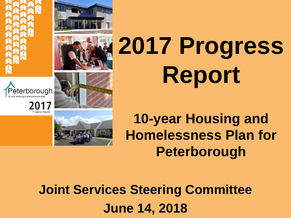











# **2017 Progress Report**

**10-year Housing and Homelessness Plan for Peterborough**

**Joint Services Steering Committee June 14, 2018**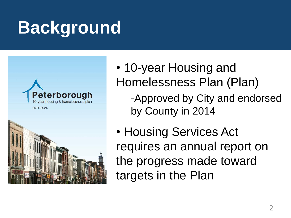## **Background**





- 10-year Housing and Homelessness Plan (Plan)
	- -Approved by City and endorsed by County in 2014
- Housing Services Act requires an annual report on the progress made toward targets in the Plan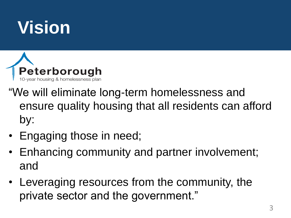## **Vision**



- "We will eliminate long-term homelessness and ensure quality housing that all residents can afford by:
- Engaging those in need;
- Enhancing community and partner involvement; and
- Leveraging resources from the community, the private sector and the government."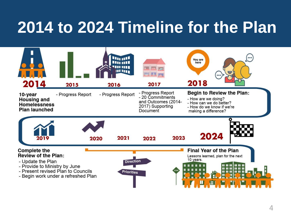## **2014 to 2024 Timeline for the Plan**

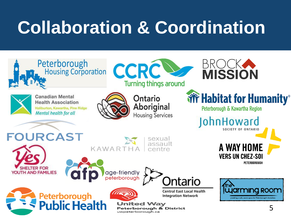## **Collaboration & Coordination**

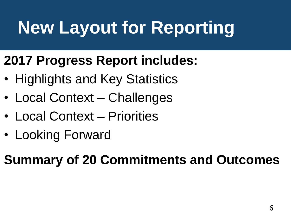# **New Layout for Reporting**

### **2017 Progress Report includes:**

- Highlights and Key Statistics
- Local Context Challenges
- Local Context Priorities
- Looking Forward

### **Summary of 20 Commitments and Outcomes**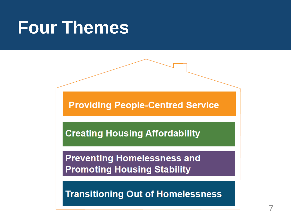## **Four Themes**

**Providing People-Centred Service** 

**Creating Housing Affordability** 

**Preventing Homelessness and Promoting Housing Stability** 

**Transitioning Out of Homelessness**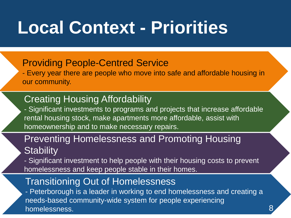## **Local Context - Priorities**

### Providing People-Centred Service

- Every year there are people who move into safe and affordable housing in our community.

### **Creating Housing Affordability**

- Significant investments to programs and projects that increase affordable rental housing stock, make apartments more affordable, assist with homeownership and to make necessary repairs.

### Preventing Homelessness and Promoting Housing **Stability**

- Significant investment to help people with their housing costs to prevent homelessness and keep people stable in their homes.

### Transitioning Out of Homelessness

- Peterborough is a leader in working to end homelessness and creating a needs-based community-wide system for people experiencing homelessness.

8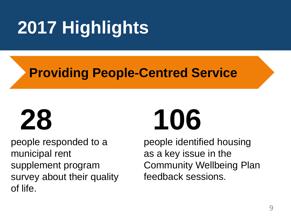### **Providing People-Centred Service**

people responded to a municipal rent supplement program survey about their quality of life.

# **28 106**

people identified housing as a key issue in the Community Wellbeing Plan feedback sessions.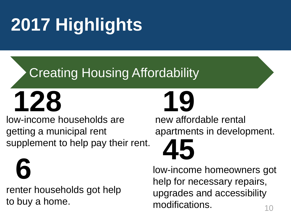# **2016 Highlights 2017 Highlights**

### Creating Housing Affordability



low-income households are getting a municipal rent supplement to help pay their rent.

renter households got help to buy a home. **6**

new affordable rental apartments in development.

10 low-income homeowners got help for necessary repairs, upgrades and accessibility modifications. **45**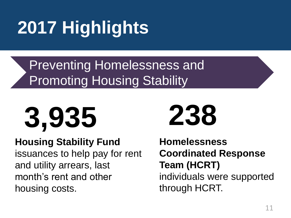Preventing Homelessness and **Promoting Housing Stability** 



### **Housing Stability Fund**

issuances to help pay for rent and utility arrears, last month's rent and other housing costs.

**Homelessness Coordinated Response Team (HCRT)** individuals were supported through HCRT.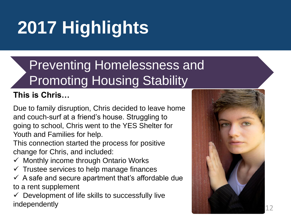### Preventing Homelessness and Promoting Housing Stability

### **This is Chris…**

Due to family disruption, Chris decided to leave home and couch-surf at a friend's house. Struggling to going to school, Chris went to the YES Shelter for Youth and Families for help.

This connection started the process for positive change for Chris, and included:

- $\checkmark$  Monthly income through Ontario Works
- $\checkmark$  Trustee services to help manage finances
- $\checkmark$  A safe and secure apartment that's affordable due to a rent supplement
- $\checkmark$  Development of life skills to successfully live independently

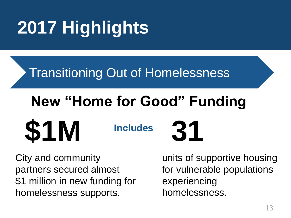### Transitioning Out of Homelessness

## **New "Home for Good" Funding**

**Includes \$1M 31**

City and community partners secured almost \$1 million in new funding for homelessness supports.

units of supportive housing for vulnerable populations experiencing homelessness.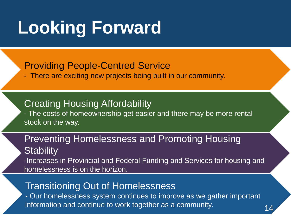## **Looking Forward**

### Providing People-Centred Service

- There are exciting new projects being built in our community.

**Creating Housing Affordability** - The costs of homeownership get easier and there may be more rental stock on the way.

### Preventing Homelessness and Promoting Housing **Stability**

-Increases in Provincial and Federal Funding and Services for housing and homelessness is on the horizon.

### Transitioning Out of Homelessness

- Our homelessness system continues to improve as we gather important information and continue to work together as a community.

14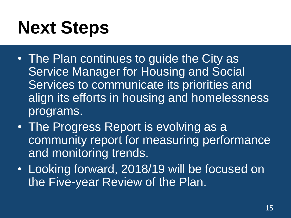# **Next Steps**

- The Plan continues to guide the City as Service Manager for Housing and Social Services to communicate its priorities and align its efforts in housing and homelessness programs.
- The Progress Report is evolving as a community report for measuring performance and monitoring trends.
- Looking forward, 2018/19 will be focused on the Five-year Review of the Plan.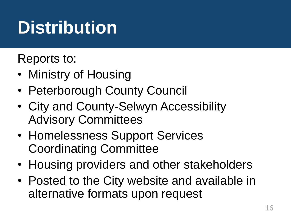## **Distribution**

Reports to:

- Ministry of Housing
- Peterborough County Council
- City and County-Selwyn Accessibility Advisory Committees
- Homelessness Support Services Coordinating Committee
- Housing providers and other stakeholders
- Posted to the City website and available in alternative formats upon request